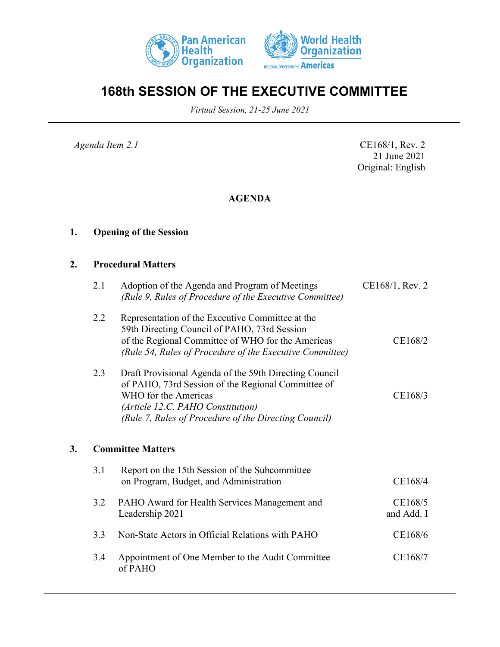



# **168th SESSION OF THE EXECUTIVE COMMITTEE**

*Virtual Session, 21-25 June 2021*

*Agenda Item 2.1* CE168/1, Rev. 2 21 June 2021 Original: English

## **AGENDA**

## **1. Opening of the Session**

### **2. Procedural Matters**

|    | 2.1 | Adoption of the Agenda and Program of Meetings<br>(Rule 9, Rules of Procedure of the Executive Committee)                                                                                                                          | CE168/1, Rev. 2       |
|----|-----|------------------------------------------------------------------------------------------------------------------------------------------------------------------------------------------------------------------------------------|-----------------------|
|    | 2.2 | Representation of the Executive Committee at the<br>59th Directing Council of PAHO, 73rd Session<br>of the Regional Committee of WHO for the Americas<br>(Rule 54, Rules of Procedure of the Executive Committee)                  | CE168/2               |
|    | 2.3 | Draft Provisional Agenda of the 59th Directing Council<br>of PAHO, 73rd Session of the Regional Committee of<br>WHO for the Americas<br>(Article 12.C, PAHO Constitution)<br>(Rule 7, Rules of Procedure of the Directing Council) | CE168/3               |
| 3. |     | <b>Committee Matters</b>                                                                                                                                                                                                           |                       |
|    | 3.1 | Report on the 15th Session of the Subcommittee<br>on Program, Budget, and Administration                                                                                                                                           | CE168/4               |
|    | 3.2 | PAHO Award for Health Services Management and<br>Leadership 2021                                                                                                                                                                   | CE168/5<br>and Add. I |
|    | 3.3 | Non-State Actors in Official Relations with PAHO                                                                                                                                                                                   | CE168/6               |
|    | 3.4 | Appointment of One Member to the Audit Committee<br>of PAHO                                                                                                                                                                        | CE168/7               |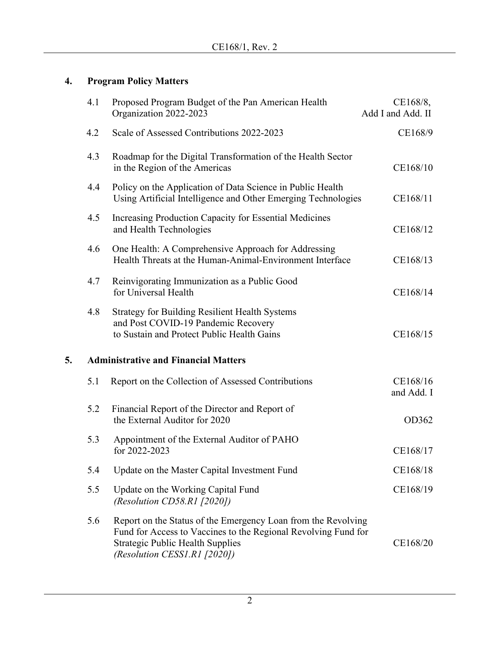# **4. Program Policy Matters**

|    | 4.1 | Proposed Program Budget of the Pan American Health<br>Organization 2022-2023                                                                                                                               | CE168/8,<br>Add I and Add. II |
|----|-----|------------------------------------------------------------------------------------------------------------------------------------------------------------------------------------------------------------|-------------------------------|
|    | 4.2 | Scale of Assessed Contributions 2022-2023                                                                                                                                                                  | CE168/9                       |
|    | 4.3 | Roadmap for the Digital Transformation of the Health Sector<br>in the Region of the Americas                                                                                                               | CE168/10                      |
|    | 4.4 | Policy on the Application of Data Science in Public Health<br>Using Artificial Intelligence and Other Emerging Technologies                                                                                | CE168/11                      |
|    | 4.5 | Increasing Production Capacity for Essential Medicines<br>and Health Technologies                                                                                                                          | CE168/12                      |
|    | 4.6 | One Health: A Comprehensive Approach for Addressing<br>Health Threats at the Human-Animal-Environment Interface                                                                                            | CE168/13                      |
|    | 4.7 | Reinvigorating Immunization as a Public Good<br>for Universal Health                                                                                                                                       | CE168/14                      |
|    | 4.8 | <b>Strategy for Building Resilient Health Systems</b><br>and Post COVID-19 Pandemic Recovery<br>to Sustain and Protect Public Health Gains                                                                 | CE168/15                      |
| 5. |     | <b>Administrative and Financial Matters</b>                                                                                                                                                                |                               |
|    | 5.1 | Report on the Collection of Assessed Contributions                                                                                                                                                         | CE168/16<br>and Add. I        |
|    | 5.2 | Financial Report of the Director and Report of<br>the External Auditor for 2020                                                                                                                            | OD362                         |
|    | 5.3 | Appointment of the External Auditor of PAHO<br>for 2022-2023                                                                                                                                               | CE168/17                      |
|    | 5.4 | Update on the Master Capital Investment Fund                                                                                                                                                               | CE168/18                      |
|    | 5.5 | Update on the Working Capital Fund<br>(Resolution CD58.R1 $[2020]$ )                                                                                                                                       | CE168/19                      |
|    | 5.6 | Report on the Status of the Emergency Loan from the Revolving<br>Fund for Access to Vaccines to the Regional Revolving Fund for<br><b>Strategic Public Health Supplies</b><br>(Resolution CESS1.R1 [2020]) | CE168/20                      |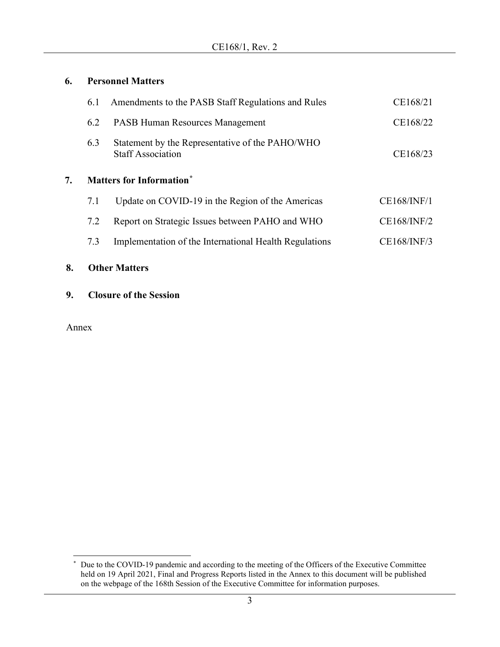### **6. Personnel Matters**

| 8.                                    | <b>Other Matters</b> |                                                                             |                    |
|---------------------------------------|----------------------|-----------------------------------------------------------------------------|--------------------|
|                                       | 7.3                  | Implementation of the International Health Regulations                      | CE168/INF/3        |
|                                       | 7.2                  | Report on Strategic Issues between PAHO and WHO                             | <b>CE168/INF/2</b> |
|                                       | 7.1                  | Update on COVID-19 in the Region of the Americas                            | CE168/INF/1        |
| <b>Matters for Information*</b><br>7. |                      |                                                                             |                    |
|                                       | 6.3                  | Statement by the Representative of the PAHO/WHO<br><b>Staff Association</b> | CE168/23           |
|                                       | 6.2                  | <b>PASB Human Resources Management</b>                                      | CE168/22           |
|                                       | 6.1                  | Amendments to the PASB Staff Regulations and Rules                          | CE168/21           |

**9. Closure of the Session**

Annex

<span id="page-2-0"></span><sup>\*</sup> Due to the COVID-19 pandemic and according to the meeting of the Officers of the Executive Committee held on 19 April 2021, Final and Progress Reports listed in the Annex to this document will be published on the webpage of the 168th Session of the Executive Committee for information purposes.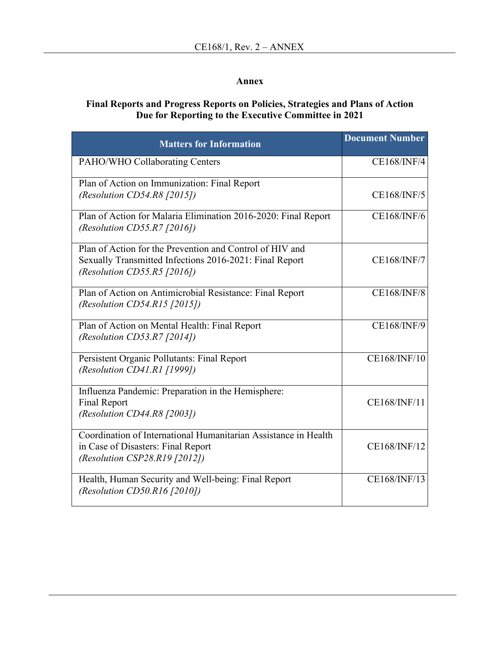### **Annex**

### **Final Reports and Progress Reports on Policies, Strategies and Plans of Action Due for Reporting to the Executive Committee in 2021**

| <b>Matters for Information</b>                                                                                                                     | <b>Document Number</b> |
|----------------------------------------------------------------------------------------------------------------------------------------------------|------------------------|
| PAHO/WHO Collaborating Centers                                                                                                                     | <b>CE168/INF/4</b>     |
| Plan of Action on Immunization: Final Report<br>(Resolution CD54.R8 $[2015]$ )                                                                     | CE168/INF/5            |
| Plan of Action for Malaria Elimination 2016-2020: Final Report<br>(Resolution CD55.R7 [2016])                                                      | <b>CE168/INF/6</b>     |
| Plan of Action for the Prevention and Control of HIV and<br>Sexually Transmitted Infections 2016-2021: Final Report<br>(Resolution CD55.R5 [2016]) | <b>CE168/INF/7</b>     |
| Plan of Action on Antimicrobial Resistance: Final Report<br>(Resolution CD54.R15 [2015])                                                           | <b>CE168/INF/8</b>     |
| Plan of Action on Mental Health: Final Report<br>(Resolution CD53.R7 [2014])                                                                       | <b>CE168/INF/9</b>     |
| Persistent Organic Pollutants: Final Report<br>(Resolution CD41.R1 [1999])                                                                         | CE168/INF/10           |
| Influenza Pandemic: Preparation in the Hemisphere:<br><b>Final Report</b><br>(Resolution CD44.R8 $[2003]$ )                                        | CE168/INF/11           |
| Coordination of International Humanitarian Assistance in Health<br>in Case of Disasters: Final Report<br>(Resolution CSP28.R19 [2012])             | CE168/INF/12           |
| Health, Human Security and Well-being: Final Report<br>(Resolution CD50.R16 [2010])                                                                | CE168/INF/13           |